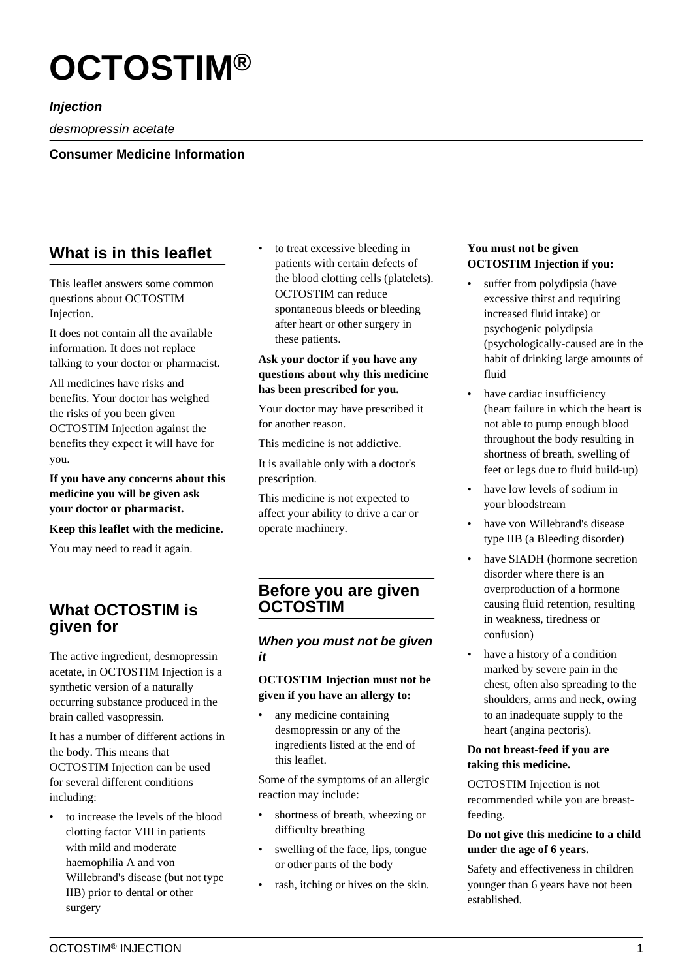# **OCTOSTIM®**

**Injection**

desmopressin acetate

**Consumer Medicine Information**

# **What is in this leaflet**

This leaflet answers some common questions about OCTOSTIM Injection.

It does not contain all the available information. It does not replace talking to your doctor or pharmacist.

All medicines have risks and benefits. Your doctor has weighed the risks of you been given OCTOSTIM Injection against the benefits they expect it will have for you.

**If you have any concerns about this medicine you will be given ask your doctor or pharmacist.**

**Keep this leaflet with the medicine.**

You may need to read it again.

## **What OCTOSTIM is given for**

The active ingredient, desmopressin acetate, in OCTOSTIM Injection is a synthetic version of a naturally occurring substance produced in the brain called vasopressin.

It has a number of different actions in the body. This means that OCTOSTIM Injection can be used for several different conditions including:

• to increase the levels of the blood clotting factor VIII in patients with mild and moderate haemophilia A and von Willebrand's disease (but not type IIB) prior to dental or other surgery

to treat excessive bleeding in patients with certain defects of the blood clotting cells (platelets). OCTOSTIM can reduce spontaneous bleeds or bleeding after heart or other surgery in these patients.

## **Ask your doctor if you have any questions about why this medicine has been prescribed for you.**

Your doctor may have prescribed it for another reason.

This medicine is not addictive.

It is available only with a doctor's prescription.

This medicine is not expected to affect your ability to drive a car or operate machinery.

## **Before you are given OCTOSTIM**

## **When you must not be given it**

## **OCTOSTIM Injection must not be given if you have an allergy to:**

any medicine containing desmopressin or any of the ingredients listed at the end of this leaflet.

Some of the symptoms of an allergic reaction may include:

- shortness of breath, wheezing or difficulty breathing
- swelling of the face, lips, tongue or other parts of the body
- rash, itching or hives on the skin.

#### **You must not be given OCTOSTIM Injection if you:**

- suffer from polydipsia (have excessive thirst and requiring increased fluid intake) or psychogenic polydipsia (psychologically-caused are in the habit of drinking large amounts of fluid
- have cardiac insufficiency (heart failure in which the heart is not able to pump enough blood throughout the body resulting in shortness of breath, swelling of feet or legs due to fluid build-up)
- have low levels of sodium in your bloodstream
- have von Willebrand's disease type IIB (a Bleeding disorder)
- have SIADH (hormone secretion disorder where there is an overproduction of a hormone causing fluid retention, resulting in weakness, tiredness or confusion)
- have a history of a condition marked by severe pain in the chest, often also spreading to the shoulders, arms and neck, owing to an inadequate supply to the heart (angina pectoris).

## **Do not breast-feed if you are taking this medicine.**

OCTOSTIM Injection is not recommended while you are breastfeeding.

## **Do not give this medicine to a child under the age of 6 years.**

Safety and effectiveness in children younger than 6 years have not been established.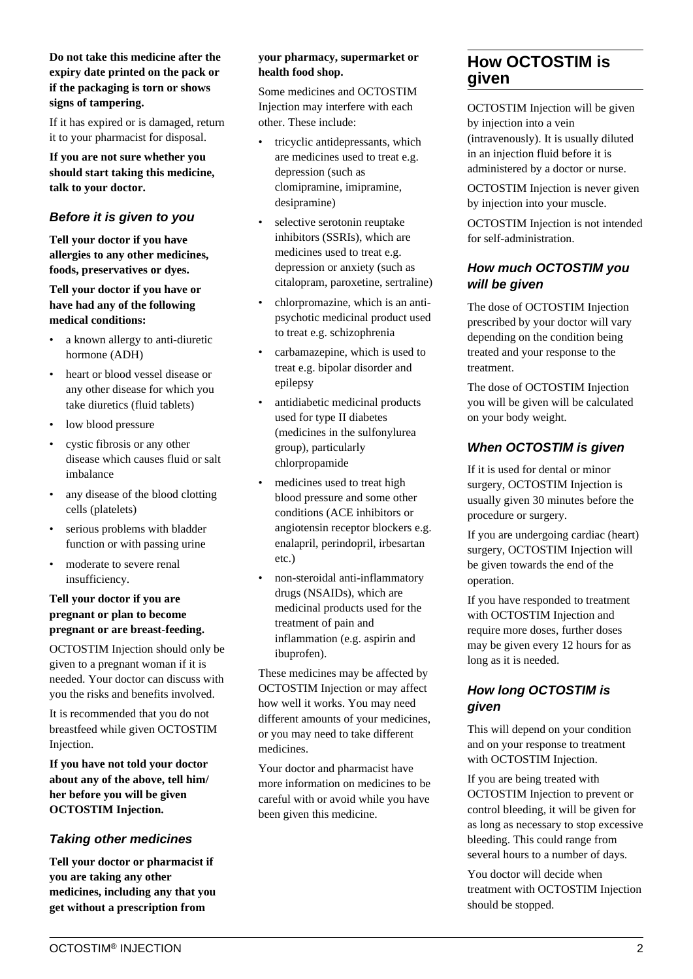#### **Do not take this medicine after the expiry date printed on the pack or if the packaging is torn or shows signs of tampering.**

If it has expired or is damaged, return it to your pharmacist for disposal.

**If you are not sure whether you should start taking this medicine, talk to your doctor.**

## **Before it is given to you**

**Tell your doctor if you have allergies to any other medicines, foods, preservatives or dyes.**

## **Tell your doctor if you have or have had any of the following medical conditions:**

- a known allergy to anti-diuretic hormone (ADH)
- heart or blood vessel disease or any other disease for which you take diuretics (fluid tablets)
- low blood pressure
- cystic fibrosis or any other disease which causes fluid or salt imbalance
- any disease of the blood clotting cells (platelets)
- serious problems with bladder function or with passing urine
- moderate to severe renal insufficiency.

## **Tell your doctor if you are pregnant or plan to become pregnant or are breast-feeding.**

OCTOSTIM Injection should only be given to a pregnant woman if it is needed. Your doctor can discuss with you the risks and benefits involved.

It is recommended that you do not breastfeed while given OCTOSTIM Injection.

**If you have not told your doctor about any of the above, tell him/ her before you will be given OCTOSTIM Injection.**

## **Taking other medicines**

**Tell your doctor or pharmacist if you are taking any other medicines, including any that you get without a prescription from**

## **your pharmacy, supermarket or health food shop.**

Some medicines and OCTOSTIM Injection may interfere with each other. These include:

- tricyclic antidepressants, which are medicines used to treat e.g. depression (such as clomipramine, imipramine, desipramine)
- selective serotonin reuptake inhibitors (SSRIs), which are medicines used to treat e.g. depression or anxiety (such as citalopram, paroxetine, sertraline)
- chlorpromazine, which is an antipsychotic medicinal product used to treat e.g. schizophrenia
- carbamazepine, which is used to treat e.g. bipolar disorder and epilepsy
- antidiabetic medicinal products used for type II diabetes (medicines in the sulfonylurea group), particularly chlorpropamide
- medicines used to treat high blood pressure and some other conditions (ACE inhibitors or angiotensin receptor blockers e.g. enalapril, perindopril, irbesartan etc.)
- non-steroidal anti-inflammatory drugs (NSAIDs), which are medicinal products used for the treatment of pain and inflammation (e.g. aspirin and ibuprofen).

These medicines may be affected by OCTOSTIM Injection or may affect how well it works. You may need different amounts of your medicines, or you may need to take different medicines.

Your doctor and pharmacist have more information on medicines to be careful with or avoid while you have been given this medicine.

## **How OCTOSTIM is given**

OCTOSTIM Injection will be given by injection into a vein (intravenously). It is usually diluted in an injection fluid before it is administered by a doctor or nurse.

OCTOSTIM Injection is never given by injection into your muscle.

OCTOSTIM Injection is not intended for self-administration.

## **How much OCTOSTIM you will be given**

The dose of OCTOSTIM Injection prescribed by your doctor will vary depending on the condition being treated and your response to the treatment.

The dose of OCTOSTIM Injection you will be given will be calculated on your body weight.

## **When OCTOSTIM is given**

If it is used for dental or minor surgery, OCTOSTIM Injection is usually given 30 minutes before the procedure or surgery.

If you are undergoing cardiac (heart) surgery, OCTOSTIM Injection will be given towards the end of the operation.

If you have responded to treatment with OCTOSTIM Injection and require more doses, further doses may be given every 12 hours for as long as it is needed.

## **How long OCTOSTIM is given**

This will depend on your condition and on your response to treatment with OCTOSTIM Injection.

If you are being treated with OCTOSTIM Injection to prevent or control bleeding, it will be given for as long as necessary to stop excessive bleeding. This could range from several hours to a number of days.

You doctor will decide when treatment with OCTOSTIM Injection should be stopped.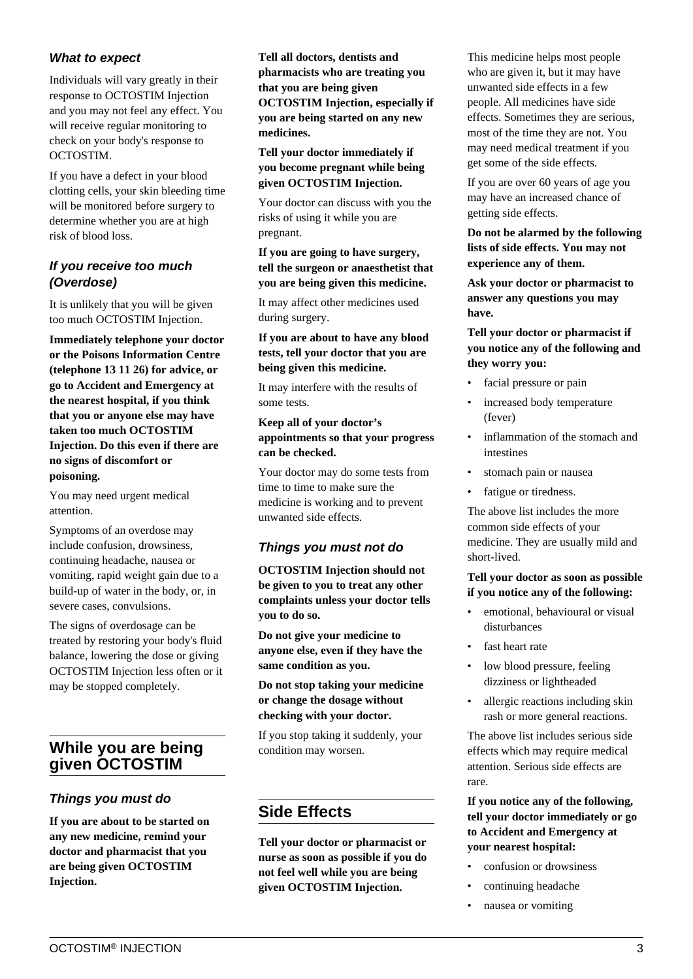## **What to expect**

Individuals will vary greatly in their response to OCTOSTIM Injection and you may not feel any effect. You will receive regular monitoring to check on your body's response to OCTOSTIM.

If you have a defect in your blood clotting cells, your skin bleeding time will be monitored before surgery to determine whether you are at high risk of blood loss.

## **If you receive too much (Overdose)**

It is unlikely that you will be given too much OCTOSTIM Injection.

**Immediately telephone your doctor or the Poisons Information Centre (telephone 13 11 26) for advice, or go to Accident and Emergency at the nearest hospital, if you think that you or anyone else may have taken too much OCTOSTIM Injection. Do this even if there are no signs of discomfort or poisoning.**

You may need urgent medical attention.

Symptoms of an overdose may include confusion, drowsiness, continuing headache, nausea or vomiting, rapid weight gain due to a build-up of water in the body, or, in severe cases, convulsions.

The signs of overdosage can be treated by restoring your body's fluid balance, lowering the dose or giving OCTOSTIM Injection less often or it may be stopped completely.

# **While you are being given OCTOSTIM**

## **Things you must do**

**If you are about to be started on any new medicine, remind your doctor and pharmacist that you are being given OCTOSTIM Injection.**

**Tell all doctors, dentists and pharmacists who are treating you that you are being given OCTOSTIM Injection, especially if you are being started on any new medicines.**

#### **Tell your doctor immediately if you become pregnant while being given OCTOSTIM Injection.**

Your doctor can discuss with you the risks of using it while you are pregnant.

#### **If you are going to have surgery, tell the surgeon or anaesthetist that you are being given this medicine.**

It may affect other medicines used during surgery.

**If you are about to have any blood tests, tell your doctor that you are being given this medicine.**

It may interfere with the results of some tests.

#### **Keep all of your doctor's appointments so that your progress can be checked.**

Your doctor may do some tests from time to time to make sure the medicine is working and to prevent unwanted side effects.

## **Things you must not do**

**OCTOSTIM Injection should not be given to you to treat any other complaints unless your doctor tells you to do so.**

**Do not give your medicine to anyone else, even if they have the same condition as you.**

**Do not stop taking your medicine or change the dosage without checking with your doctor.**

If you stop taking it suddenly, your condition may worsen.

## **Side Effects**

**Tell your doctor or pharmacist or nurse as soon as possible if you do not feel well while you are being given OCTOSTIM Injection.**

This medicine helps most people who are given it, but it may have unwanted side effects in a few people. All medicines have side effects. Sometimes they are serious, most of the time they are not. You may need medical treatment if you get some of the side effects.

If you are over 60 years of age you may have an increased chance of getting side effects.

#### **Do not be alarmed by the following lists of side effects. You may not experience any of them.**

**Ask your doctor or pharmacist to answer any questions you may have.**

## **Tell your doctor or pharmacist if you notice any of the following and they worry you:**

- facial pressure or pain
- increased body temperature (fever)
- inflammation of the stomach and intestines
- stomach pain or nausea
- fatigue or tiredness.

The above list includes the more common side effects of your medicine. They are usually mild and short-lived.

## **Tell your doctor as soon as possible if you notice any of the following:**

- emotional, behavioural or visual disturbances
- fast heart rate
- low blood pressure, feeling dizziness or lightheaded
- allergic reactions including skin rash or more general reactions.

The above list includes serious side effects which may require medical attention. Serious side effects are rare.

**If you notice any of the following, tell your doctor immediately or go to Accident and Emergency at your nearest hospital:**

- confusion or drowsiness
- continuing headache
- nausea or vomiting